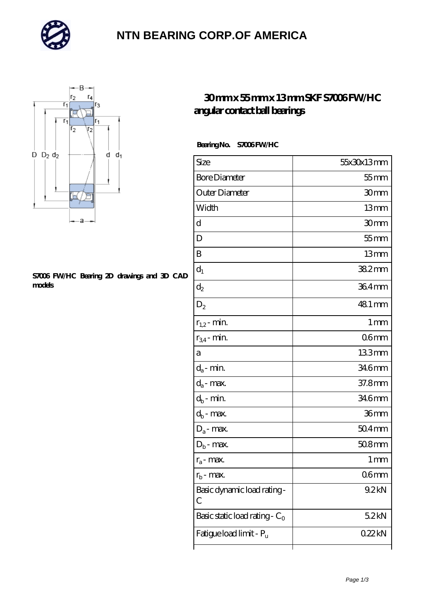

### **[NTN BEARING CORP.OF AMERICA](https://m.autopartscompanies.com)**



#### **[S7006 FW/HC Bearing 2D drawings and 3D CAD](https://m.autopartscompanies.com/pic-199163.html) [models](https://m.autopartscompanies.com/pic-199163.html)**

### **[30 mm x 55 mm x 13 mm SKF S7006 FW/HC](https://m.autopartscompanies.com/at-199163-skf-s7006-fw-hc-angular-contact-ball-bearings.html) [angular contact ball bearings](https://m.autopartscompanies.com/at-199163-skf-s7006-fw-hc-angular-contact-ball-bearings.html)**

### **Bearing No. S7006 FW/HC**

| Size                             | 55x30x13mm       |
|----------------------------------|------------------|
| <b>Bore Diameter</b>             | $55$ mm          |
| Outer Diameter                   | 30mm             |
| Width                            | 13mm             |
| d                                | 30mm             |
| D                                | $55$ mm          |
| B                                | 13mm             |
| $d_1$                            | $382$ mm         |
| $\mathrm{d}_2$                   | 364mm            |
| $D_2$                            | 48.1 mm          |
| $r_{1,2}$ - min.                 | 1 <sub>mm</sub>  |
| $r_{34}$ - min.                  | 06mm             |
| а                                | 133mm            |
| $d_a$ - min.                     | 346mm            |
| $d_a$ - max.                     | 37.8mm           |
| $d_b$ - min.                     | 346mm            |
| $d_b$ - max.                     | 36mm             |
| $D_a$ - max.                     | $504$ mm         |
| $D_b$ - max.                     | $508$ mm         |
| $r_a$ - max.                     | 1 mm             |
| $r_{\rm b}$ - max.               | 06 <sub>mm</sub> |
| Basic dynamic load rating-<br>С  | 9.2kN            |
| Basic static load rating - $C_0$ | 52kN             |
| Fatigue load limit - Pu          | 022kN            |
|                                  |                  |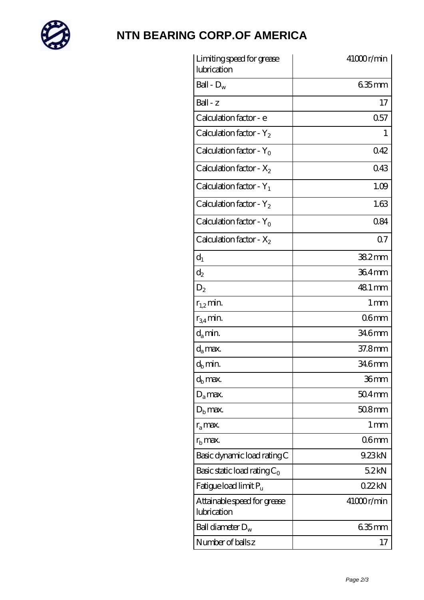

# **[NTN BEARING CORP.OF AMERICA](https://m.autopartscompanies.com)**

| Limiting speed for grease<br>lubrication   | 41000r/min        |
|--------------------------------------------|-------------------|
| Ball - $D_w$                               | $635$ mm          |
| $Ball - z$                                 | 17                |
| Calculation factor - e                     | 0.57              |
| Calculation factor - $Y_2$                 | 1                 |
| Calculation factor - $Y_0$                 | 042               |
| Calculation factor - $X_2$                 | 043               |
| Calculation factor - $Y_1$                 | 1.09              |
| Calculation factor - $Y_2$                 | 1.63              |
| Calculation factor - $Y_0$                 | 084               |
| Calculation factor - $X_2$                 | 07                |
| $d_1$                                      | 382mm             |
| $\mathrm{d}_2$                             | 364mm             |
| $D_2$                                      | 48.1 mm           |
| $r_{1,2}$ min.                             | 1 <sub>mm</sub>   |
| $r_{34}$ min.                              | 06 <sub>mm</sub>  |
| $d_{a}$ min.                               | 34.6mm            |
| $d_a$ max.                                 | 37.8mm            |
| $d_h$ min.                                 | 34.6mm            |
| $d_h$ max.                                 | 36mm              |
| $D_a$ max.                                 | $504$ mm          |
| $D_{b}$ max.                               | $508$ mm          |
| $r_a$ max.                                 | $1 \,\mathrm{mm}$ |
| $r_{\rm b}$ max.                           | 06 <sub>mm</sub>  |
| Basic dynamic load rating C                | 9.23kN            |
| Basic static load rating $C_0$             | 52kN              |
| Fatigue load limit P <sub>u</sub>          | 022kN             |
| Attainable speed for grease<br>lubrication | 41000r/min        |
| Ball diameter $D_w$                        | 635mm             |
| Number of balls z                          | 17                |